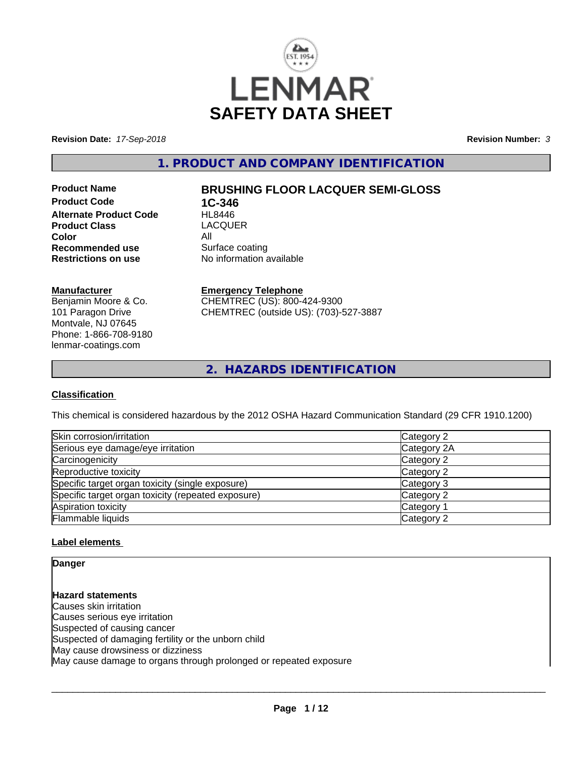

**Revision Date:** *17-Sep-2018* **Revision Number:** *3*

**1. PRODUCT AND COMPANY IDENTIFICATION**

**Product Code 1C-346**<br>**Alternate Product Code HL8446 Alternate Product Code Product Class** LACQUER **Color**<br> **Recommended use**<br> **Recommended use**<br> **All Surface coating Recommended use**<br>Restrictions on use

## **Product Name BRUSHING FLOOR LACQUER SEMI-GLOSS**

**No information available** 

#### **Manufacturer**

Benjamin Moore & Co. 101 Paragon Drive Montvale, NJ 07645 Phone: 1-866-708-9180 lenmar-coatings.com

## **Emergency Telephone**

CHEMTREC (US): 800-424-9300 CHEMTREC (outside US): (703)-527-3887

**2. HAZARDS IDENTIFICATION**

### **Classification**

This chemical is considered hazardous by the 2012 OSHA Hazard Communication Standard (29 CFR 1910.1200)

| Skin corrosion/irritation                          | Category 2  |  |
|----------------------------------------------------|-------------|--|
| Serious eye damage/eye irritation                  | Category 2A |  |
| Carcinogenicity                                    | Category 2  |  |
| Reproductive toxicity                              | Category 2  |  |
| Specific target organ toxicity (single exposure)   | Category 3  |  |
| Specific target organ toxicity (repeated exposure) | Category 2  |  |
| Aspiration toxicity                                | Category 1  |  |
| Flammable liquids                                  | Category 2  |  |

### **Label elements**

**Danger**

**Hazard statements** Causes skin irritation Causes serious eye irritation Suspected of causing cancer Suspected of damaging fertility or the unborn child May cause drowsiness or dizziness May cause damage to organs through prolonged or repeated exposure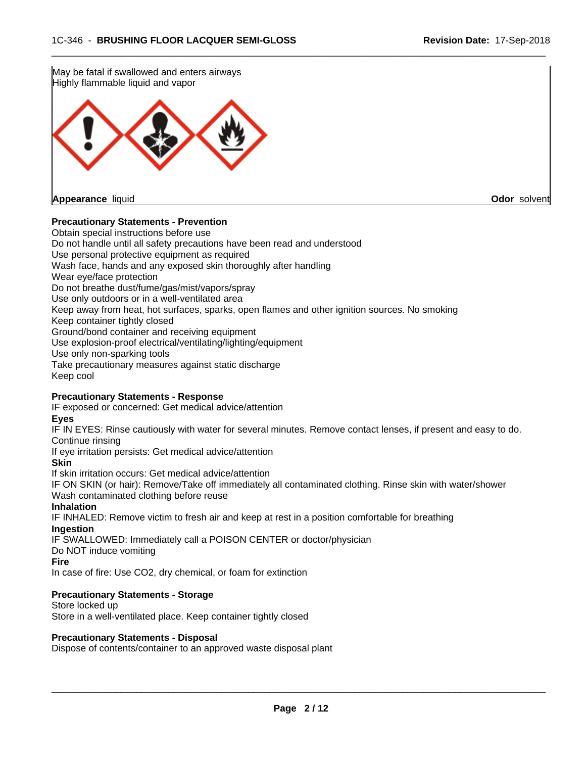

#### **Precautionary Statements - Prevention**

Obtain special instructions before use Do not handle until all safety precautions have been read and understood Use personal protective equipment as required Wash face, hands and any exposed skin thoroughly after handling Wear eye/face protection Do not breathe dust/fume/gas/mist/vapors/spray Use only outdoors or in a well-ventilated area Keep away from heat, hot surfaces, sparks, open flames and other ignition sources. No smoking Keep container tightly closed Ground/bond container and receiving equipment Use explosion-proof electrical/ventilating/lighting/equipment Use only non-sparking tools Take precautionary measures against static discharge Keep cool

#### **Precautionary Statements - Response**

IF exposed or concerned: Get medical advice/attention

**Eyes**

IF IN EYES: Rinse cautiously with water for several minutes. Remove contact lenses, if present and easy to do. Continue rinsing

If eye irritation persists: Get medical advice/attention

**Skin**

If skin irritation occurs: Get medical advice/attention

IF ON SKIN (or hair): Remove/Take off immediately all contaminated clothing. Rinse skin with water/shower Wash contaminated clothing before reuse

#### **Inhalation**

IF INHALED: Remove victim to fresh air and keep at rest in a position comfortable for breathing **Ingestion**

IF SWALLOWED: Immediately call a POISON CENTER or doctor/physician

Do NOT induce vomiting

**Fire**

In case of fire: Use CO2, dry chemical, or foam for extinction

#### **Precautionary Statements - Storage**

Store locked up Store in a well-ventilated place. Keep container tightly closed

#### **Precautionary Statements - Disposal**

Dispose of contents/container to an approved waste disposal plant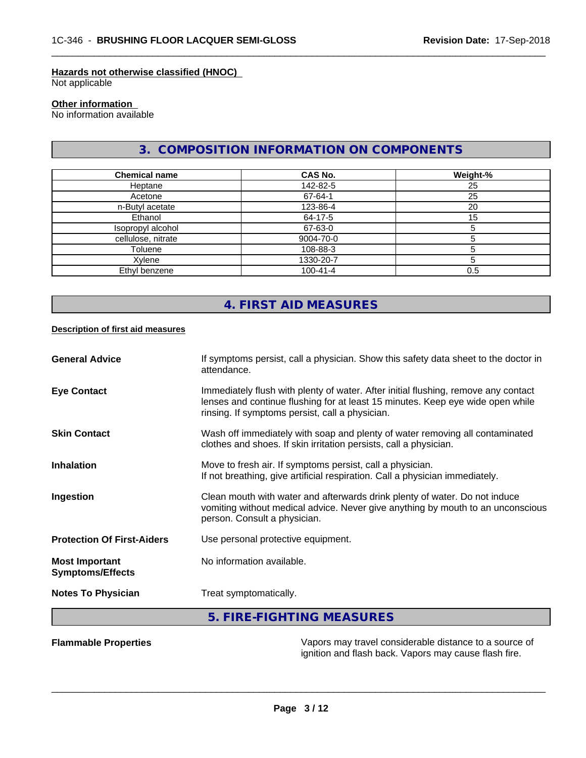ignition and flash back. Vapors may cause flash fire.

#### **Hazards not otherwise classified (HNOC)**

Not applicable

## **Other information**

No information available

## **3. COMPOSITION INFORMATION ON COMPONENTS**

 $\overline{\phantom{a}}$  ,  $\overline{\phantom{a}}$  ,  $\overline{\phantom{a}}$  ,  $\overline{\phantom{a}}$  ,  $\overline{\phantom{a}}$  ,  $\overline{\phantom{a}}$  ,  $\overline{\phantom{a}}$  ,  $\overline{\phantom{a}}$  ,  $\overline{\phantom{a}}$  ,  $\overline{\phantom{a}}$  ,  $\overline{\phantom{a}}$  ,  $\overline{\phantom{a}}$  ,  $\overline{\phantom{a}}$  ,  $\overline{\phantom{a}}$  ,  $\overline{\phantom{a}}$  ,  $\overline{\phantom{a}}$ 

| <b>Chemical name</b> | CAS No.        | Weight-% |
|----------------------|----------------|----------|
| Heptane              | 142-82-5       | 25       |
| Acetone              | 67-64-1        | 25       |
| n-Butyl acetate      | 123-86-4       | 20       |
| Ethanol              | 64-17-5        | 15       |
| Isopropyl alcohol    | 67-63-0        |          |
| cellulose, nitrate   | 9004-70-0      |          |
| Toluene              | 108-88-3       |          |
| Xylene               | 1330-20-7      |          |
| Ethyl benzene        | $100 - 41 - 4$ | 0.5      |

# **4. FIRST AID MEASURES**

#### **Description of first aid measures**

| <b>General Advice</b>                            | If symptoms persist, call a physician. Show this safety data sheet to the doctor in<br>attendance.                                                                                                                      |
|--------------------------------------------------|-------------------------------------------------------------------------------------------------------------------------------------------------------------------------------------------------------------------------|
| <b>Eye Contact</b>                               | Immediately flush with plenty of water. After initial flushing, remove any contact<br>lenses and continue flushing for at least 15 minutes. Keep eye wide open while<br>rinsing. If symptoms persist, call a physician. |
| <b>Skin Contact</b>                              | Wash off immediately with soap and plenty of water removing all contaminated<br>clothes and shoes. If skin irritation persists, call a physician.                                                                       |
| <b>Inhalation</b>                                | Move to fresh air. If symptoms persist, call a physician.<br>If not breathing, give artificial respiration. Call a physician immediately.                                                                               |
| Ingestion                                        | Clean mouth with water and afterwards drink plenty of water. Do not induce<br>vomiting without medical advice. Never give anything by mouth to an unconscious<br>person. Consult a physician.                           |
| <b>Protection Of First-Aiders</b>                | Use personal protective equipment.                                                                                                                                                                                      |
| <b>Most Important</b><br><b>Symptoms/Effects</b> | No information available.                                                                                                                                                                                               |
| <b>Notes To Physician</b>                        | Treat symptomatically.                                                                                                                                                                                                  |
|                                                  | 5. FIRE-FIGHTING MEASURES                                                                                                                                                                                               |
| <b>Flammable Properties</b>                      | Vapors may travel considerable distance to a source of                                                                                                                                                                  |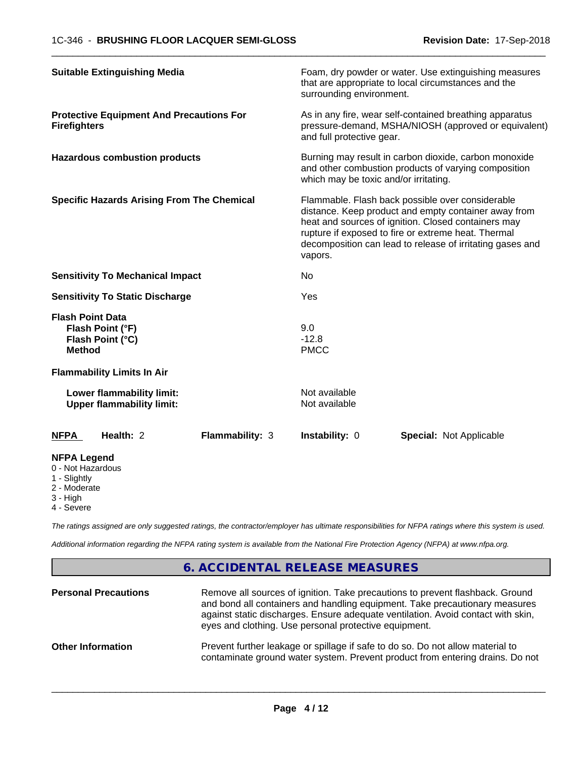| <b>Suitable Extinguishing Media</b>                                                               | Foam, dry powder or water. Use extinguishing measures<br>that are appropriate to local circumstances and the<br>surrounding environment.                                                                                                                                                       |
|---------------------------------------------------------------------------------------------------|------------------------------------------------------------------------------------------------------------------------------------------------------------------------------------------------------------------------------------------------------------------------------------------------|
| <b>Protective Equipment And Precautions For</b><br><b>Firefighters</b>                            | As in any fire, wear self-contained breathing apparatus<br>pressure-demand, MSHA/NIOSH (approved or equivalent)<br>and full protective gear.                                                                                                                                                   |
| <b>Hazardous combustion products</b>                                                              | Burning may result in carbon dioxide, carbon monoxide<br>and other combustion products of varying composition<br>which may be toxic and/or irritating.                                                                                                                                         |
| <b>Specific Hazards Arising From The Chemical</b>                                                 | Flammable. Flash back possible over considerable<br>distance. Keep product and empty container away from<br>heat and sources of ignition. Closed containers may<br>rupture if exposed to fire or extreme heat. Thermal<br>decomposition can lead to release of irritating gases and<br>vapors. |
| <b>Sensitivity To Mechanical Impact</b>                                                           | No.                                                                                                                                                                                                                                                                                            |
| <b>Sensitivity To Static Discharge</b>                                                            | Yes                                                                                                                                                                                                                                                                                            |
| <b>Flash Point Data</b><br>Flash Point (°F)<br>Flash Point (°C)<br><b>Method</b>                  | 9.0<br>$-12.8$<br><b>PMCC</b>                                                                                                                                                                                                                                                                  |
| <b>Flammability Limits In Air</b>                                                                 |                                                                                                                                                                                                                                                                                                |
| Lower flammability limit:<br><b>Upper flammability limit:</b>                                     | Not available<br>Not available                                                                                                                                                                                                                                                                 |
| Health: 2<br><b>NFPA</b><br><b>Flammability: 3</b>                                                | Instability: 0<br><b>Special: Not Applicable</b>                                                                                                                                                                                                                                               |
| <b>NFPA Legend</b><br>0 - Not Hazardous<br>1 - Slightly<br>2 - Moderate<br>3 - High<br>4 - Severe |                                                                                                                                                                                                                                                                                                |

*The ratings assigned are only suggested ratings, the contractor/employer has ultimate responsibilities for NFPA ratings where this system is used.*

*Additional information regarding the NFPA rating system is available from the National Fire Protection Agency (NFPA) at www.nfpa.org.*

## **6. ACCIDENTAL RELEASE MEASURES**

| <b>Personal Precautions</b> | Remove all sources of ignition. Take precautions to prevent flashback. Ground<br>and bond all containers and handling equipment. Take precautionary measures<br>against static discharges. Ensure adequate ventilation. Avoid contact with skin,<br>eyes and clothing. Use personal protective equipment. |
|-----------------------------|-----------------------------------------------------------------------------------------------------------------------------------------------------------------------------------------------------------------------------------------------------------------------------------------------------------|
| <b>Other Information</b>    | Prevent further leakage or spillage if safe to do so. Do not allow material to<br>contaminate ground water system. Prevent product from entering drains. Do not                                                                                                                                           |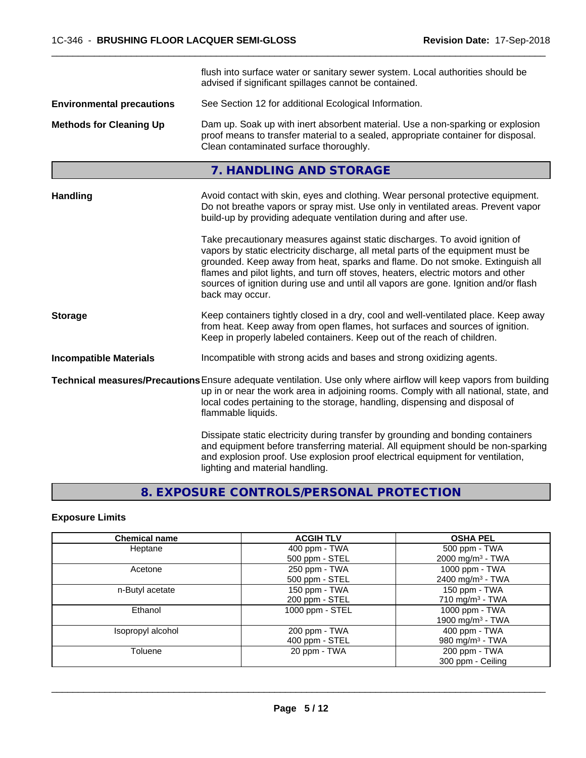|                                  | flush into surface water or sanitary sewer system. Local authorities should be                                                                                                                                                                                                                                                                                                                                                                 |  |
|----------------------------------|------------------------------------------------------------------------------------------------------------------------------------------------------------------------------------------------------------------------------------------------------------------------------------------------------------------------------------------------------------------------------------------------------------------------------------------------|--|
|                                  | advised if significant spillages cannot be contained.                                                                                                                                                                                                                                                                                                                                                                                          |  |
| <b>Environmental precautions</b> | See Section 12 for additional Ecological Information.                                                                                                                                                                                                                                                                                                                                                                                          |  |
| <b>Methods for Cleaning Up</b>   | Dam up. Soak up with inert absorbent material. Use a non-sparking or explosion<br>proof means to transfer material to a sealed, appropriate container for disposal.<br>Clean contaminated surface thoroughly.                                                                                                                                                                                                                                  |  |
|                                  | 7. HANDLING AND STORAGE                                                                                                                                                                                                                                                                                                                                                                                                                        |  |
| <b>Handling</b>                  | Avoid contact with skin, eyes and clothing. Wear personal protective equipment.<br>Do not breathe vapors or spray mist. Use only in ventilated areas. Prevent vapor<br>build-up by providing adequate ventilation during and after use.                                                                                                                                                                                                        |  |
|                                  | Take precautionary measures against static discharges. To avoid ignition of<br>vapors by static electricity discharge, all metal parts of the equipment must be<br>grounded. Keep away from heat, sparks and flame. Do not smoke. Extinguish all<br>flames and pilot lights, and turn off stoves, heaters, electric motors and other<br>sources of ignition during use and until all vapors are gone. Ignition and/or flash<br>back may occur. |  |
| <b>Storage</b>                   | Keep containers tightly closed in a dry, cool and well-ventilated place. Keep away<br>from heat. Keep away from open flames, hot surfaces and sources of ignition.<br>Keep in properly labeled containers. Keep out of the reach of children.                                                                                                                                                                                                  |  |
| <b>Incompatible Materials</b>    | Incompatible with strong acids and bases and strong oxidizing agents.                                                                                                                                                                                                                                                                                                                                                                          |  |
|                                  | Technical measures/Precautions Ensure adequate ventilation. Use only where airflow will keep vapors from building<br>up in or near the work area in adjoining rooms. Comply with all national, state, and<br>local codes pertaining to the storage, handling, dispensing and disposal of<br>flammable liquids.                                                                                                                                 |  |
|                                  | Dissipate static electricity during transfer by grounding and bonding containers<br>and equipment before transferring material. All equipment should be non-sparking<br>and explosion proof. Use explosion proof electrical equipment for ventilation,<br>lighting and material handling.                                                                                                                                                      |  |

# **8. EXPOSURE CONTROLS/PERSONAL PROTECTION**

# **Exposure Limits**

| <b>Chemical name</b> | <b>ACGIH TLV</b> | <b>OSHA PEL</b>              |
|----------------------|------------------|------------------------------|
| Heptane              | 400 ppm - TWA    | 500 ppm - TWA                |
|                      | 500 ppm - STEL   | 2000 mg/m <sup>3</sup> - TWA |
| Acetone              | 250 ppm - TWA    | 1000 ppm - TWA               |
|                      | 500 ppm - STEL   | 2400 mg/m <sup>3</sup> - TWA |
| n-Butyl acetate      | 150 ppm - TWA    | 150 ppm - TWA                |
|                      | 200 ppm - STEL   | 710 mg/m <sup>3</sup> - TWA  |
| Ethanol              | 1000 ppm - STEL  | 1000 ppm - TWA               |
|                      |                  | 1900 mg/m <sup>3</sup> - TWA |
| Isopropyl alcohol    | 200 ppm - TWA    | 400 ppm - TWA                |
|                      | 400 ppm - STEL   | 980 mg/m <sup>3</sup> - TWA  |
| Toluene              | 20 ppm - TWA     | 200 ppm - TWA                |
|                      |                  | 300 ppm - Ceiling            |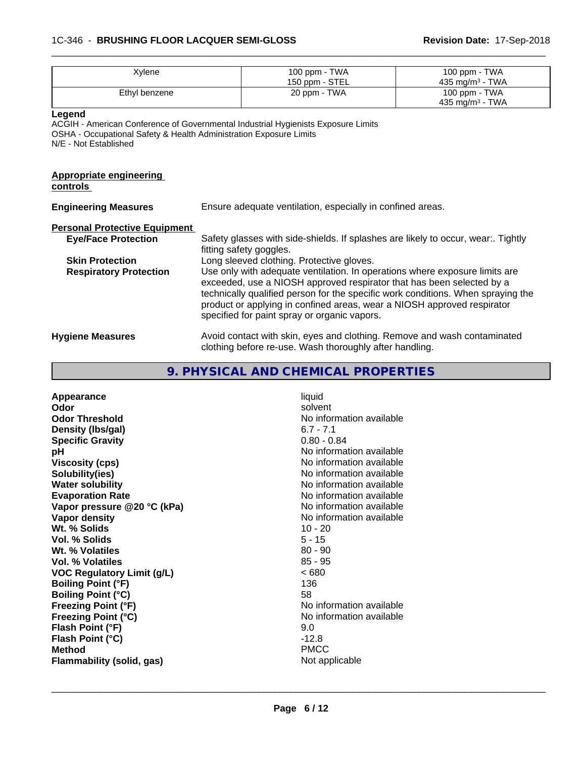### 1C-346 - **BRUSHING FLOOR LACQUER SEMI-GLOSS Revision Date:** 17-Sep-2018

| Xylene        | 100 ppm - TWA<br>150 ppm - STEL | 100 ppm - TWA<br>435 mg/m $3$ - TWA |
|---------------|---------------------------------|-------------------------------------|
| Ethyl benzene | 20 ppm - TWA                    | 100 ppm - TWA<br>435 mg/m $3$ - TWA |
|               |                                 |                                     |

 $\overline{\phantom{a}}$  ,  $\overline{\phantom{a}}$  ,  $\overline{\phantom{a}}$  ,  $\overline{\phantom{a}}$  ,  $\overline{\phantom{a}}$  ,  $\overline{\phantom{a}}$  ,  $\overline{\phantom{a}}$  ,  $\overline{\phantom{a}}$  ,  $\overline{\phantom{a}}$  ,  $\overline{\phantom{a}}$  ,  $\overline{\phantom{a}}$  ,  $\overline{\phantom{a}}$  ,  $\overline{\phantom{a}}$  ,  $\overline{\phantom{a}}$  ,  $\overline{\phantom{a}}$  ,  $\overline{\phantom{a}}$ 

**Legend**

ACGIH - American Conference of Governmental Industrial Hygienists Exposure Limits OSHA - Occupational Safety & Health Administration Exposure Limits N/E - Not Established

#### **Appropriate engineering controls**

| <b>Engineering Measures</b>          | Ensure adequate ventilation, especially in confined areas.                                                                                                                                                                                                                                                                                                          |
|--------------------------------------|---------------------------------------------------------------------------------------------------------------------------------------------------------------------------------------------------------------------------------------------------------------------------------------------------------------------------------------------------------------------|
| <b>Personal Protective Equipment</b> |                                                                                                                                                                                                                                                                                                                                                                     |
| <b>Eye/Face Protection</b>           | Safety glasses with side-shields. If splashes are likely to occur, wear:. Tightly<br>fitting safety goggles.                                                                                                                                                                                                                                                        |
| <b>Skin Protection</b>               | Long sleeved clothing. Protective gloves.                                                                                                                                                                                                                                                                                                                           |
| <b>Respiratory Protection</b>        | Use only with adequate ventilation. In operations where exposure limits are<br>exceeded, use a NIOSH approved respirator that has been selected by a<br>technically qualified person for the specific work conditions. When spraying the<br>product or applying in confined areas, wear a NIOSH approved respirator<br>specified for paint spray or organic vapors. |
| <b>Hygiene Measures</b>              | Avoid contact with skin, eyes and clothing. Remove and wash contaminated<br>clothing before re-use. Wash thoroughly after handling.                                                                                                                                                                                                                                 |

# **9. PHYSICAL AND CHEMICAL PROPERTIES**

| Appearance                        | liquid                   |
|-----------------------------------|--------------------------|
| Odor                              | solvent                  |
| <b>Odor Threshold</b>             | No information available |
| Density (Ibs/gal)                 | $6.7 - 7.1$              |
| <b>Specific Gravity</b>           | $0.80 - 0.84$            |
| рH                                | No information available |
| <b>Viscosity (cps)</b>            | No information available |
| Solubility(ies)                   | No information available |
| <b>Water solubility</b>           | No information available |
| <b>Evaporation Rate</b>           | No information available |
| Vapor pressure @20 °C (kPa)       | No information available |
| Vapor density                     | No information available |
| Wt. % Solids                      | $10 - 20$                |
| <b>Vol. % Solids</b>              | $5 - 15$                 |
| Wt. % Volatiles                   | $80 - 90$                |
| <b>Vol. % Volatiles</b>           | $85 - 95$                |
| <b>VOC Regulatory Limit (g/L)</b> | <680                     |
| <b>Boiling Point (°F)</b>         | 136                      |
| <b>Boiling Point (°C)</b>         | 58                       |
| <b>Freezing Point (°F)</b>        | No information available |
| <b>Freezing Point (°C)</b>        | No information available |
| Flash Point (°F)                  | 9.0                      |
| Flash Point (°C)                  | $-12.8$                  |
| <b>Method</b>                     | <b>PMCC</b>              |
| Flammability (solid, gas)         | Not applicable           |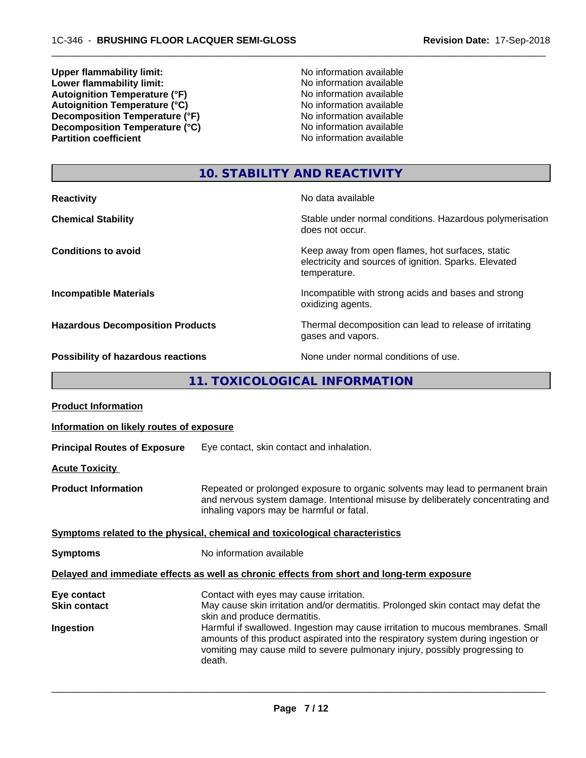**Upper flammability limit:**<br> **Lower flammability limit:**<br> **Lower flammability limit:**<br>
No information available **Lower flammability limit:**<br> **Autoignition Temperature (°F)**<br>
Mo information available<br>
No information available Autoignition **Temperature** (°F) <br>
Autoignition **Temperature** (°C) <br>
No information available Autoignition **Temperature** (°C) Mo information available<br>Decomposition **Temperature** (°F) No information available **Decomposition Temperature (°F)**<br> **Decomposition Temperature (°C)**<br>
No information available<br>
No information available **Decomposition Temperature (°C)**<br>Partition coefficient

**No information available** 

 $\overline{\phantom{a}}$  ,  $\overline{\phantom{a}}$  ,  $\overline{\phantom{a}}$  ,  $\overline{\phantom{a}}$  ,  $\overline{\phantom{a}}$  ,  $\overline{\phantom{a}}$  ,  $\overline{\phantom{a}}$  ,  $\overline{\phantom{a}}$  ,  $\overline{\phantom{a}}$  ,  $\overline{\phantom{a}}$  ,  $\overline{\phantom{a}}$  ,  $\overline{\phantom{a}}$  ,  $\overline{\phantom{a}}$  ,  $\overline{\phantom{a}}$  ,  $\overline{\phantom{a}}$  ,  $\overline{\phantom{a}}$ 

# **10. STABILITY AND REACTIVITY**

| <b>Reactivity</b>                         | No data available                                                                                                         |
|-------------------------------------------|---------------------------------------------------------------------------------------------------------------------------|
| <b>Chemical Stability</b>                 | Stable under normal conditions. Hazardous polymerisation<br>does not occur.                                               |
| <b>Conditions to avoid</b>                | Keep away from open flames, hot surfaces, static<br>electricity and sources of ignition. Sparks. Elevated<br>temperature. |
| <b>Incompatible Materials</b>             | Incompatible with strong acids and bases and strong<br>oxidizing agents.                                                  |
| <b>Hazardous Decomposition Products</b>   | Thermal decomposition can lead to release of irritating<br>gases and vapors.                                              |
| <b>Possibility of hazardous reactions</b> | None under normal conditions of use.                                                                                      |

**11. TOXICOLOGICAL INFORMATION**

| <b>Product Information</b>               |                                                                                                                                                                                                                                                               |  |
|------------------------------------------|---------------------------------------------------------------------------------------------------------------------------------------------------------------------------------------------------------------------------------------------------------------|--|
| Information on likely routes of exposure |                                                                                                                                                                                                                                                               |  |
| <b>Principal Routes of Exposure</b>      | Eye contact, skin contact and inhalation.                                                                                                                                                                                                                     |  |
| <b>Acute Toxicity</b>                    |                                                                                                                                                                                                                                                               |  |
| <b>Product Information</b>               | Repeated or prolonged exposure to organic solvents may lead to permanent brain<br>and nervous system damage. Intentional misuse by deliberately concentrating and<br>inhaling vapors may be harmful or fatal.                                                 |  |
|                                          | Symptoms related to the physical, chemical and toxicological characteristics                                                                                                                                                                                  |  |
| <b>Symptoms</b>                          | No information available                                                                                                                                                                                                                                      |  |
|                                          | Delayed and immediate effects as well as chronic effects from short and long-term exposure                                                                                                                                                                    |  |
| Eye contact<br><b>Skin contact</b>       | Contact with eyes may cause irritation.<br>May cause skin irritation and/or dermatitis. Prolonged skin contact may defat the                                                                                                                                  |  |
|                                          | skin and produce dermatitis.                                                                                                                                                                                                                                  |  |
| Ingestion                                | Harmful if swallowed. Ingestion may cause irritation to mucous membranes. Small<br>amounts of this product aspirated into the respiratory system during ingestion or<br>vomiting may cause mild to severe pulmonary injury, possibly progressing to<br>death. |  |
|                                          |                                                                                                                                                                                                                                                               |  |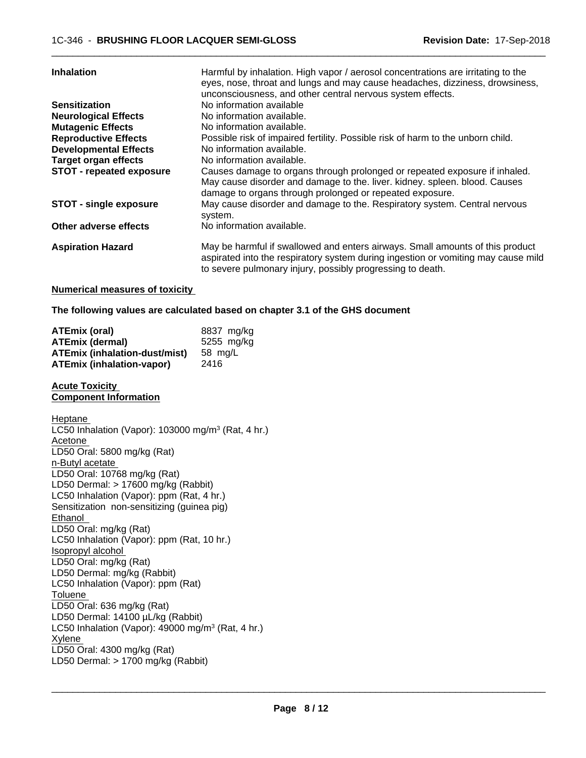| <b>Inhalation</b>               | Harmful by inhalation. High vapor / aerosol concentrations are irritating to the<br>eyes, nose, throat and lungs and may cause headaches, dizziness, drowsiness,<br>unconsciousness, and other central nervous system effects.   |
|---------------------------------|----------------------------------------------------------------------------------------------------------------------------------------------------------------------------------------------------------------------------------|
| <b>Sensitization</b>            | No information available                                                                                                                                                                                                         |
| <b>Neurological Effects</b>     | No information available.                                                                                                                                                                                                        |
| <b>Mutagenic Effects</b>        | No information available.                                                                                                                                                                                                        |
| <b>Reproductive Effects</b>     | Possible risk of impaired fertility. Possible risk of harm to the unborn child.                                                                                                                                                  |
| <b>Developmental Effects</b>    | No information available.                                                                                                                                                                                                        |
| <b>Target organ effects</b>     | No information available.                                                                                                                                                                                                        |
| <b>STOT - repeated exposure</b> | Causes damage to organs through prolonged or repeated exposure if inhaled.<br>May cause disorder and damage to the. liver. kidney. spleen. blood. Causes<br>damage to organs through prolonged or repeated exposure.             |
| <b>STOT - single exposure</b>   | May cause disorder and damage to the. Respiratory system. Central nervous<br>system.                                                                                                                                             |
| Other adverse effects           | No information available.                                                                                                                                                                                                        |
| <b>Aspiration Hazard</b>        | May be harmful if swallowed and enters airways. Small amounts of this product<br>aspirated into the respiratory system during ingestion or vomiting may cause mild<br>to severe pulmonary injury, possibly progressing to death. |

#### **Numerical measures of toxicity**

**The following values are calculated based on chapter 3.1 of the GHS document**

| <b>ATEmix (oral)</b>                 | 8837 mg/ka |
|--------------------------------------|------------|
| <b>ATEmix (dermal)</b>               | 5255 mg/kg |
| <b>ATEmix (inhalation-dust/mist)</b> | 58 ma/L    |
| <b>ATEmix (inhalation-vapor)</b>     | 2416       |

#### **Acute Toxicity Component Information**

Heptane LC50 Inhalation (Vapor): 103000 mg/m<sup>3</sup> (Rat, 4 hr.) Acetone LD50 Oral: 5800 mg/kg (Rat) n-Butyl acetate LD50 Oral: 10768 mg/kg (Rat) LD50 Dermal: > 17600 mg/kg (Rabbit) LC50 Inhalation (Vapor): ppm (Rat, 4 hr.) Sensitization non-sensitizing (guinea pig) Ethanol LD50 Oral: mg/kg (Rat) LC50 Inhalation (Vapor): ppm (Rat, 10 hr.) Isopropyl alcohol LD50 Oral: mg/kg (Rat) LD50 Dermal: mg/kg (Rabbit) LC50 Inhalation (Vapor): ppm (Rat) Toluene LD50 Oral: 636 mg/kg (Rat) LD50 Dermal: 14100 µL/kg (Rabbit) LC50 Inhalation (Vapor): 49000 mg/m<sup>3</sup> (Rat, 4 hr.) Xylene LD50 Oral: 4300 mg/kg (Rat) LD50 Dermal: > 1700 mg/kg (Rabbit)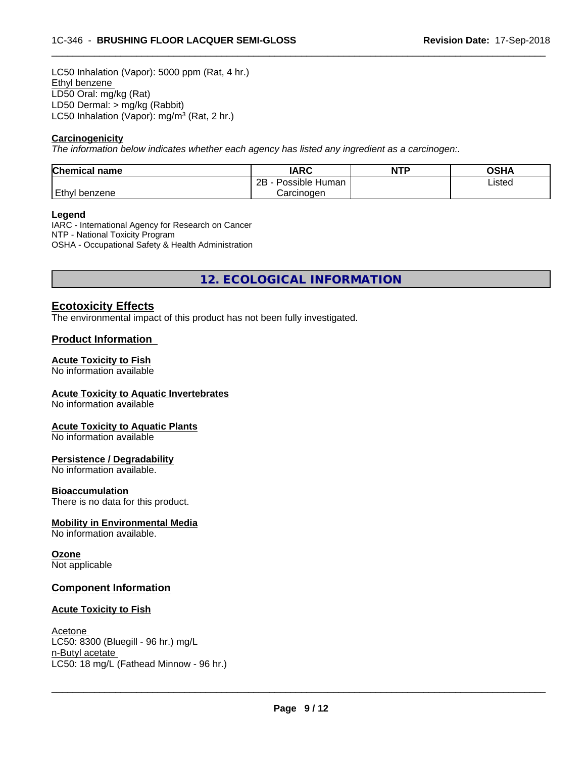LC50 Inhalation (Vapor): 5000 ppm (Rat, 4 hr.) Ethyl benzene LD50 Oral: mg/kg (Rat) LD50 Dermal: > mg/kg (Rabbit) LC50 Inhalation (Vapor): mg/m<sup>3</sup> (Rat, 2 hr.)

#### **Carcinogenicity**

*The information below indicateswhether each agency has listed any ingredient as a carcinogen:.*

| <b>Chemical name</b> | <b>IARC</b>               | <b>NTP</b> | <b>OSHA</b> |
|----------------------|---------------------------|------------|-------------|
|                      | .<br>2B<br>Possible Human |            | Listed      |
| Ethyl<br>benzene     | Carcinogen                |            |             |

 $\overline{\phantom{a}}$  ,  $\overline{\phantom{a}}$  ,  $\overline{\phantom{a}}$  ,  $\overline{\phantom{a}}$  ,  $\overline{\phantom{a}}$  ,  $\overline{\phantom{a}}$  ,  $\overline{\phantom{a}}$  ,  $\overline{\phantom{a}}$  ,  $\overline{\phantom{a}}$  ,  $\overline{\phantom{a}}$  ,  $\overline{\phantom{a}}$  ,  $\overline{\phantom{a}}$  ,  $\overline{\phantom{a}}$  ,  $\overline{\phantom{a}}$  ,  $\overline{\phantom{a}}$  ,  $\overline{\phantom{a}}$ 

#### **Legend**

IARC - International Agency for Research on Cancer NTP - National Toxicity Program OSHA - Occupational Safety & Health Administration

**12. ECOLOGICAL INFORMATION**

### **Ecotoxicity Effects**

The environmental impact of this product has not been fully investigated.

#### **Product Information**

#### **Acute Toxicity to Fish**

No information available

#### **Acute Toxicity to Aquatic Invertebrates**

No information available

#### **Acute Toxicity to Aquatic Plants**

No information available

#### **Persistence / Degradability**

No information available.

#### **Bioaccumulation**

There is no data for this product.

#### **Mobility in Environmental Media**

No information available.

## **Ozone**

Not applicable

#### **Component Information**

#### **Acute Toxicity to Fish**

Acetone LC50: 8300 (Bluegill - 96 hr.) mg/L n-Butyl acetate \_\_\_\_\_\_\_\_\_\_\_\_\_\_\_\_\_\_\_\_\_\_\_\_\_\_\_\_\_\_\_\_\_\_\_\_\_\_\_\_\_\_\_\_\_\_\_\_\_\_\_\_\_\_\_\_\_\_\_\_\_\_\_\_\_\_\_\_\_\_\_\_\_\_\_\_\_\_\_\_\_\_\_\_\_\_\_\_\_\_\_\_\_ LC50: 18 mg/L (Fathead Minnow - 96 hr.)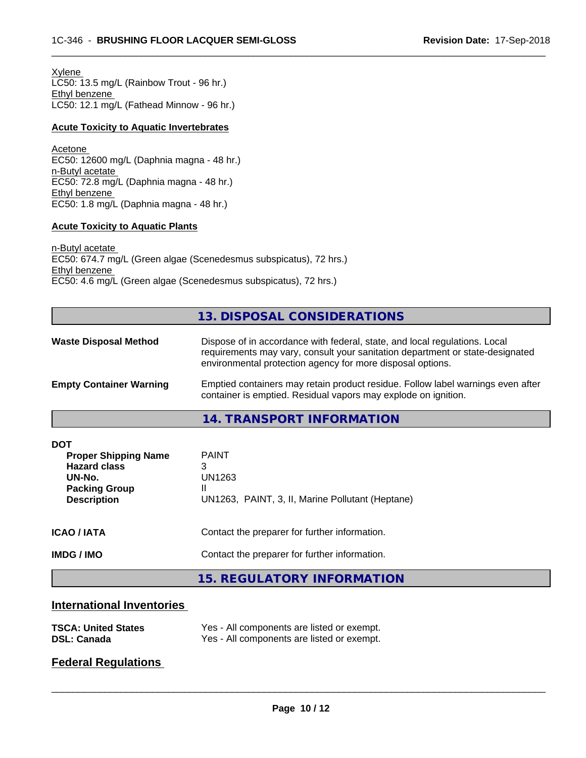Xylene LC50: 13.5 mg/L (Rainbow Trout - 96 hr.) Ethyl benzene LC50: 12.1 mg/L (Fathead Minnow - 96 hr.)

#### **Acute Toxicity to Aquatic Invertebrates**

Acetone EC50: 12600 mg/L (Daphnia magna - 48 hr.) n-Butyl acetate EC50: 72.8 mg/L (Daphnia magna - 48 hr.) Ethyl benzene EC50: 1.8 mg/L (Daphnia magna - 48 hr.)

#### **Acute Toxicity to Aquatic Plants**

n-Butyl acetate EC50: 674.7 mg/L (Green algae (Scenedesmus subspicatus), 72 hrs.) Ethyl benzene EC50: 4.6 mg/L (Green algae (Scenedesmus subspicatus), 72 hrs.)

## **13. DISPOSAL CONSIDERATIONS**

 $\overline{\phantom{a}}$  ,  $\overline{\phantom{a}}$  ,  $\overline{\phantom{a}}$  ,  $\overline{\phantom{a}}$  ,  $\overline{\phantom{a}}$  ,  $\overline{\phantom{a}}$  ,  $\overline{\phantom{a}}$  ,  $\overline{\phantom{a}}$  ,  $\overline{\phantom{a}}$  ,  $\overline{\phantom{a}}$  ,  $\overline{\phantom{a}}$  ,  $\overline{\phantom{a}}$  ,  $\overline{\phantom{a}}$  ,  $\overline{\phantom{a}}$  ,  $\overline{\phantom{a}}$  ,  $\overline{\phantom{a}}$ 

| <b>Waste Disposal Method</b>   | Dispose of in accordance with federal, state, and local regulations. Local<br>requirements may vary, consult your sanitation department or state-designated<br>environmental protection agency for more disposal options. |
|--------------------------------|---------------------------------------------------------------------------------------------------------------------------------------------------------------------------------------------------------------------------|
| <b>Empty Container Warning</b> | Emptied containers may retain product residue. Follow label warnings even after<br>container is emptied. Residual vapors may explode on ignition.                                                                         |

**14. TRANSPORT INFORMATION**

| <b>DOT</b><br><b>Proper Shipping Name</b><br><b>Hazard class</b><br>UN-No.<br><b>Packing Group</b><br><b>Description</b> | <b>PAINT</b><br>3<br>UN1263<br>Ш<br>UN1263, PAINT, 3, II, Marine Pollutant (Heptane)           |
|--------------------------------------------------------------------------------------------------------------------------|------------------------------------------------------------------------------------------------|
| <b>ICAO/IATA</b><br><b>IMDG / IMO</b>                                                                                    | Contact the preparer for further information.<br>Contact the preparer for further information. |
|                                                                                                                          | 15. REGULATORY INFORMATION                                                                     |

#### **International Inventories**

| <b>TSCA: United States</b> | Yes - All components are listed or exempt. |
|----------------------------|--------------------------------------------|
| <b>DSL: Canada</b>         | Yes - All components are listed or exempt. |

## **Federal Regulations**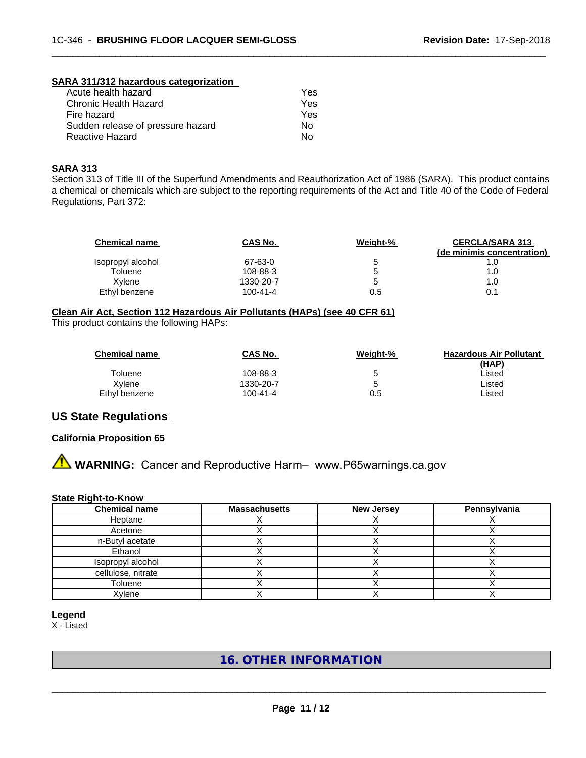#### **SARA 311/312 hazardous categorization**

| Yes |
|-----|
| Yes |
| Yes |
| Nο  |
| N٥  |
|     |

#### **SARA 313**

Section 313 of Title III of the Superfund Amendments and Reauthorization Act of 1986 (SARA). This product contains a chemical or chemicals which are subject to the reporting requirements of the Act and Title 40 of the Code of Federal Regulations, Part 372:

| <b>Chemical name</b> | CAS No.        | Weight-% | <b>CERCLA/SARA 313</b><br>(de minimis concentration) |
|----------------------|----------------|----------|------------------------------------------------------|
| Isopropyl alcohol    | 67-63-0        | 5        | 1.0                                                  |
| Toluene              | 108-88-3       | 5        | 1.0                                                  |
| Xylene               | 1330-20-7      | 5        | 1.0                                                  |
| Ethyl benzene        | $100 - 41 - 4$ | 0.5      | 0.1                                                  |

 $\overline{\phantom{a}}$  ,  $\overline{\phantom{a}}$  ,  $\overline{\phantom{a}}$  ,  $\overline{\phantom{a}}$  ,  $\overline{\phantom{a}}$  ,  $\overline{\phantom{a}}$  ,  $\overline{\phantom{a}}$  ,  $\overline{\phantom{a}}$  ,  $\overline{\phantom{a}}$  ,  $\overline{\phantom{a}}$  ,  $\overline{\phantom{a}}$  ,  $\overline{\phantom{a}}$  ,  $\overline{\phantom{a}}$  ,  $\overline{\phantom{a}}$  ,  $\overline{\phantom{a}}$  ,  $\overline{\phantom{a}}$ 

#### **Clean Air Act,Section 112 Hazardous Air Pollutants (HAPs) (see 40 CFR 61)**

This product contains the following HAPs:

| <b>Chemical name</b> | CAS No.   | Weight-% | <b>Hazardous Air Pollutant</b> |
|----------------------|-----------|----------|--------------------------------|
|                      |           |          | (HAP)                          |
| Toluene              | 108-88-3  |          | Listed                         |
| Xvlene               | 1330-20-7 |          | Listed                         |
| Ethyl benzene        | 100-41-4  | 0.5      | ∟isted                         |

## **US State Regulations**

#### **California Proposition 65**

**AVIMARNING:** Cancer and Reproductive Harm– www.P65warnings.ca.gov

#### **State Right-to-Know**

| <b>Chemical name</b> | <b>Massachusetts</b> | <b>New Jersey</b> | Pennsylvania |
|----------------------|----------------------|-------------------|--------------|
| Heptane              |                      |                   |              |
| Acetone              |                      |                   |              |
| n-Butyl acetate      |                      |                   |              |
| Ethanol              |                      |                   |              |
| Isopropyl alcohol    |                      |                   |              |
| cellulose, nitrate   |                      |                   |              |
| Toluene              |                      |                   |              |
| Xylene               |                      |                   |              |

**Legend** X - Listed

## **16. OTHER INFORMATION**